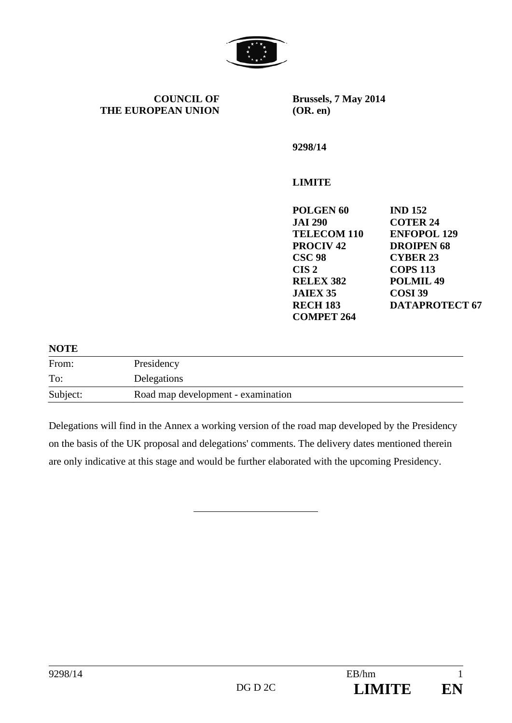

**COUNCIL OF THE EUROPEAN UNION** **Brussels, 7 May 2014 (OR. en)** 

**9298/14** 

## **LIMITE**

| <b>IND 152</b>        |
|-----------------------|
| <b>COTER 24</b>       |
| <b>ENFOPOL 129</b>    |
| <b>DROIPEN 68</b>     |
| <b>CYBER 23</b>       |
| <b>COPS 113</b>       |
| <b>POLMIL 49</b>      |
| COSI <sub>39</sub>    |
| <b>DATAPROTECT 67</b> |
|                       |
|                       |

## **NOTE**

| From:    | Presidency                         |
|----------|------------------------------------|
| To:      | Delegations                        |
| Subject: | Road map development - examination |

Delegations will find in the Annex a working version of the road map developed by the Presidency on the basis of the UK proposal and delegations' comments. The delivery dates mentioned therein are only indicative at this stage and would be further elaborated with the upcoming Presidency.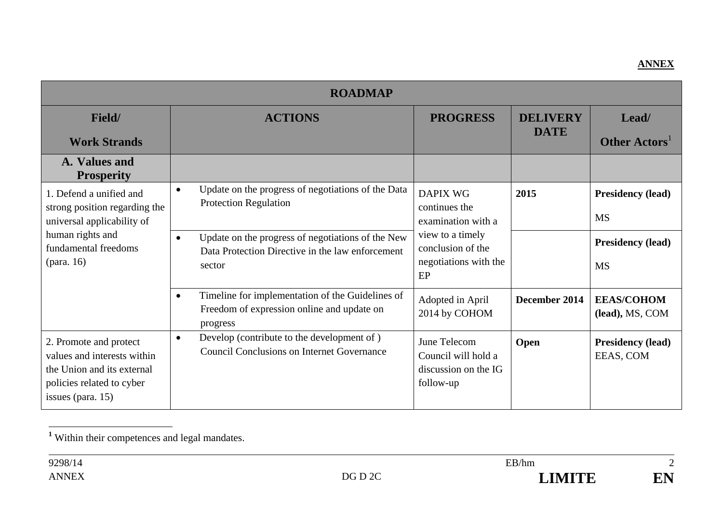## **ANNEX**

| <b>ROADMAP</b>                                                                                                                                   |                                                                                                                              |                                                                          |                                |                                       |  |
|--------------------------------------------------------------------------------------------------------------------------------------------------|------------------------------------------------------------------------------------------------------------------------------|--------------------------------------------------------------------------|--------------------------------|---------------------------------------|--|
| Field/<br><b>Work Strands</b>                                                                                                                    | <b>ACTIONS</b>                                                                                                               | <b>PROGRESS</b>                                                          | <b>DELIVERY</b><br><b>DATE</b> | Lead/<br>Other Actors <sup>1</sup>    |  |
| A. Values and<br><b>Prosperity</b>                                                                                                               |                                                                                                                              |                                                                          |                                |                                       |  |
| 1. Defend a unified and<br>strong position regarding the<br>universal applicability of<br>human rights and<br>fundamental freedoms<br>(para. 16) | Update on the progress of negotiations of the Data<br>$\bullet$<br><b>Protection Regulation</b>                              | <b>DAPIX WG</b><br>continues the<br>examination with a                   | 2015                           | <b>Presidency (lead)</b><br><b>MS</b> |  |
|                                                                                                                                                  | Update on the progress of negotiations of the New<br>$\bullet$<br>Data Protection Directive in the law enforcement<br>sector | view to a timely<br>conclusion of the<br>negotiations with the<br>EP     |                                | <b>Presidency (lead)</b><br><b>MS</b> |  |
|                                                                                                                                                  | Timeline for implementation of the Guidelines of<br>$\bullet$<br>Freedom of expression online and update on<br>progress      | Adopted in April<br>2014 by COHOM                                        | December 2014                  | <b>EEAS/COHOM</b><br>(lead), MS, COM  |  |
| 2. Promote and protect<br>values and interests within<br>the Union and its external<br>policies related to cyber<br>issues (para. 15)            | Develop (contribute to the development of)<br>$\bullet$<br><b>Council Conclusions on Internet Governance</b>                 | June Telecom<br>Council will hold a<br>discussion on the IG<br>follow-up | Open                           | <b>Presidency (lead)</b><br>EEAS, COM |  |

**<sup>1</sup>** Within their competences and legal mandates.



 $\overline{2}$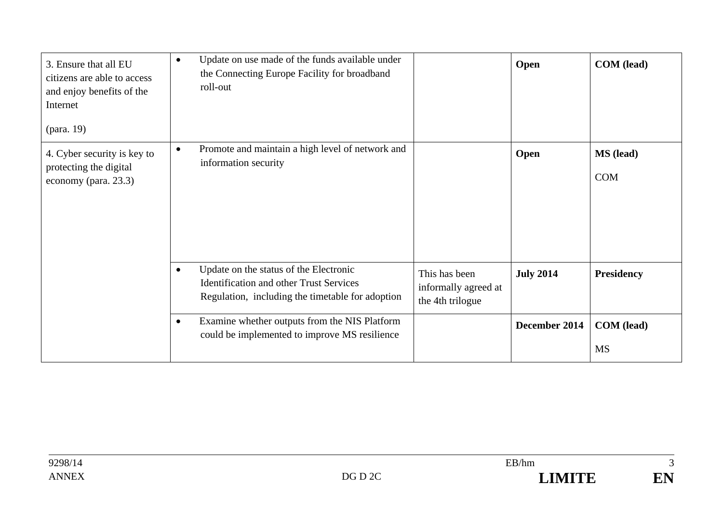| 3. Ensure that all EU<br>citizens are able to access<br>and enjoy benefits of the<br>Internet<br>(para. 19) | Update on use made of the funds available under<br>$\bullet$<br>the Connecting Europe Facility for broadband<br>roll-out                                                                                               | <b>COM</b> (lead)<br>Open                       |
|-------------------------------------------------------------------------------------------------------------|------------------------------------------------------------------------------------------------------------------------------------------------------------------------------------------------------------------------|-------------------------------------------------|
| 4. Cyber security is key to<br>protecting the digital<br>economy (para. 23.3)                               | Promote and maintain a high level of network and<br>$\bullet$<br>information security                                                                                                                                  | <b>MS</b> (lead)<br>Open<br><b>COM</b>          |
|                                                                                                             | Update on the status of the Electronic<br>$\bullet$<br>This has been<br><b>Identification and other Trust Services</b><br>informally agreed at<br>Regulation, including the timetable for adoption<br>the 4th trilogue | <b>July 2014</b><br><b>Presidency</b>           |
|                                                                                                             | Examine whether outputs from the NIS Platform<br>$\bullet$<br>could be implemented to improve MS resilience                                                                                                            | December 2014<br><b>COM</b> (lead)<br><b>MS</b> |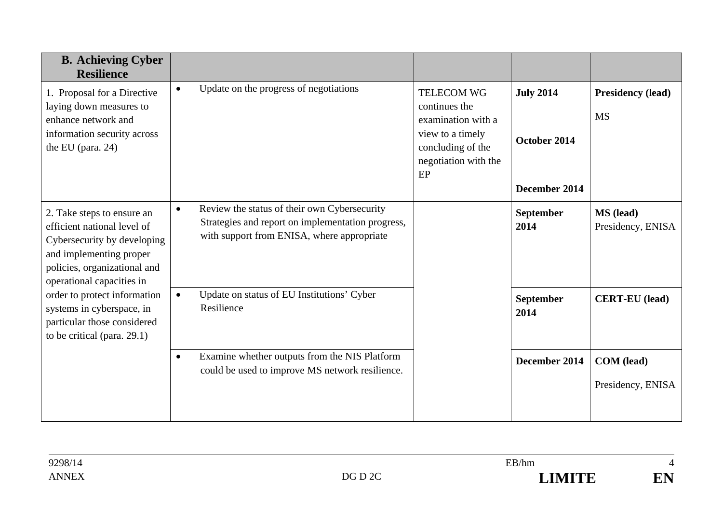| <b>B.</b> Achieving Cyber<br><b>Resilience</b>                                                                                                                                                                                                                                                              |                                                                                                                                                              |                                                                                                                                 |                                                   |                                        |
|-------------------------------------------------------------------------------------------------------------------------------------------------------------------------------------------------------------------------------------------------------------------------------------------------------------|--------------------------------------------------------------------------------------------------------------------------------------------------------------|---------------------------------------------------------------------------------------------------------------------------------|---------------------------------------------------|----------------------------------------|
| 1. Proposal for a Directive<br>laying down measures to<br>enhance network and<br>information security across<br>the EU (para. 24)                                                                                                                                                                           | Update on the progress of negotiations<br>$\bullet$                                                                                                          | <b>TELECOM WG</b><br>continues the<br>examination with a<br>view to a timely<br>concluding of the<br>negotiation with the<br>EP | <b>July 2014</b><br>October 2014<br>December 2014 | <b>Presidency (lead)</b><br><b>MS</b>  |
| 2. Take steps to ensure an<br>efficient national level of<br>Cybersecurity by developing<br>and implementing proper<br>policies, organizational and<br>operational capacities in<br>order to protect information<br>systems in cyberspace, in<br>particular those considered<br>to be critical (para. 29.1) | Review the status of their own Cybersecurity<br>$\bullet$<br>Strategies and report on implementation progress,<br>with support from ENISA, where appropriate |                                                                                                                                 | <b>September</b><br>2014                          | <b>MS</b> (lead)<br>Presidency, ENISA  |
|                                                                                                                                                                                                                                                                                                             | Update on status of EU Institutions' Cyber<br>$\bullet$<br>Resilience                                                                                        |                                                                                                                                 | <b>September</b><br>2014                          | <b>CERT-EU</b> (lead)                  |
|                                                                                                                                                                                                                                                                                                             | Examine whether outputs from the NIS Platform<br>$\bullet$<br>could be used to improve MS network resilience.                                                |                                                                                                                                 | December 2014                                     | <b>COM</b> (lead)<br>Presidency, ENISA |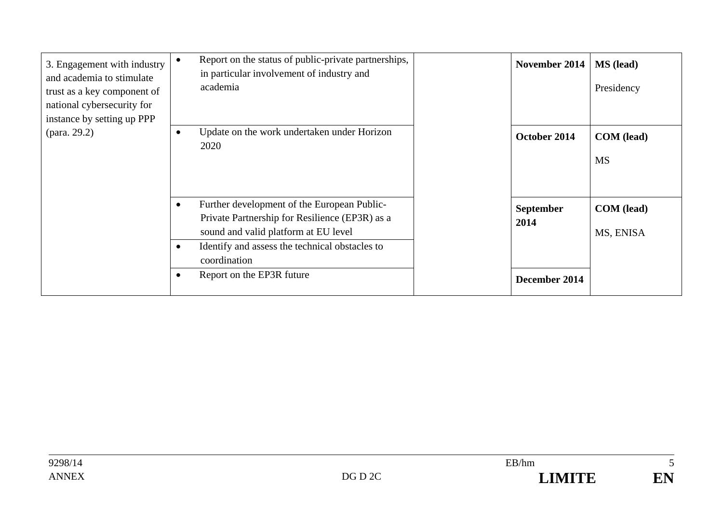| 3. Engagement with industry<br>and academia to stimulate<br>trust as a key component of<br>national cybersecurity for<br>instance by setting up PPP | Report on the status of public-private partnerships,<br>٠<br>in particular involvement of industry and<br>academia                                                                                                                |      | November 2014    | <b>MS</b> (lead)<br>Presidency |
|-----------------------------------------------------------------------------------------------------------------------------------------------------|-----------------------------------------------------------------------------------------------------------------------------------------------------------------------------------------------------------------------------------|------|------------------|--------------------------------|
| (para. 29.2)                                                                                                                                        | Update on the work undertaken under Horizon<br>$\bullet$<br>2020                                                                                                                                                                  |      | October 2014     | COM (lead)<br><b>MS</b>        |
|                                                                                                                                                     | Further development of the European Public-<br>$\bullet$<br>Private Partnership for Resilience (EP3R) as a<br>sound and valid platform at EU level<br>Identify and assess the technical obstacles to<br>$\bullet$<br>coordination | 2014 | <b>September</b> | COM (lead)<br>MS, ENISA        |
|                                                                                                                                                     | Report on the EP3R future                                                                                                                                                                                                         |      | December 2014    |                                |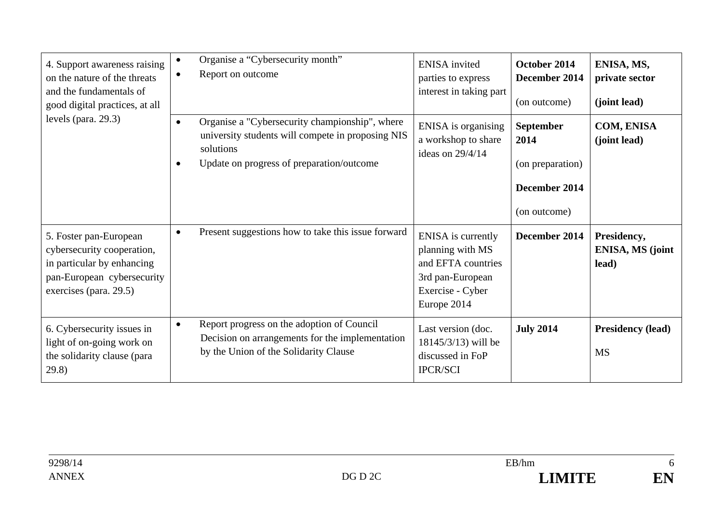| 4. Support awareness raising<br>on the nature of the threats<br>and the fundamentals of<br>good digital practices, at all<br>levels (para. $29.3$ ) | Organise a "Cybersecurity month"<br>$\bullet$<br>Report on outcome<br>$\bullet$                                                                                                         | <b>ENISA</b> invited<br>parties to express<br>interest in taking part                                                      | October 2014<br>December 2014<br>(on outcome)                          | ENISA, MS,<br>private sector<br>(joint lead)    |
|-----------------------------------------------------------------------------------------------------------------------------------------------------|-----------------------------------------------------------------------------------------------------------------------------------------------------------------------------------------|----------------------------------------------------------------------------------------------------------------------------|------------------------------------------------------------------------|-------------------------------------------------|
|                                                                                                                                                     | Organise a "Cybersecurity championship", where<br>$\bullet$<br>university students will compete in proposing NIS<br>solutions<br>Update on progress of preparation/outcome<br>$\bullet$ | ENISA is organising<br>a workshop to share<br>ideas on $29/4/14$                                                           | September<br>2014<br>(on preparation)<br>December 2014<br>(on outcome) | <b>COM, ENISA</b><br>(joint lead)               |
| 5. Foster pan-European<br>cybersecurity cooperation,<br>in particular by enhancing<br>pan-European cybersecurity<br>exercises (para. 29.5)          | Present suggestions how to take this issue forward<br>$\bullet$                                                                                                                         | <b>ENISA</b> is currently<br>planning with MS<br>and EFTA countries<br>3rd pan-European<br>Exercise - Cyber<br>Europe 2014 | December 2014                                                          | Presidency,<br><b>ENISA, MS (joint</b><br>lead) |
| 6. Cybersecurity issues in<br>light of on-going work on<br>the solidarity clause (para<br>29.8)                                                     | Report progress on the adoption of Council<br>$\bullet$<br>Decision on arrangements for the implementation<br>by the Union of the Solidarity Clause                                     | Last version (doc.<br>18145/3/13) will be<br>discussed in FoP<br><b>IPCR/SCI</b>                                           | <b>July 2014</b>                                                       | <b>Presidency (lead)</b><br><b>MS</b>           |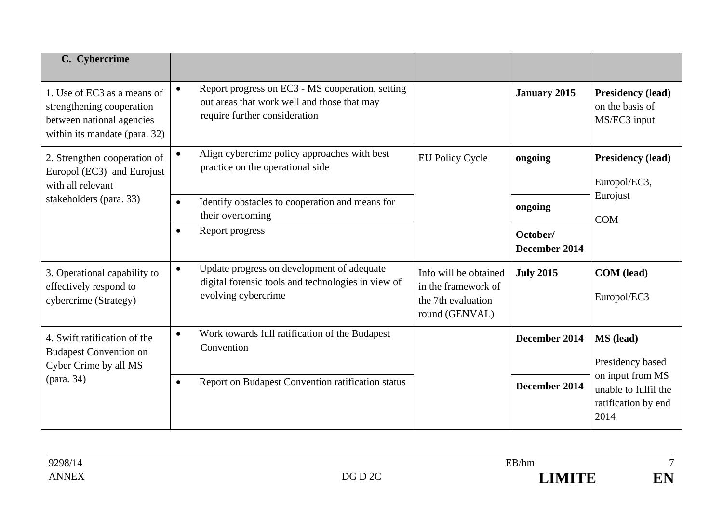| C. Cybercrime                                                                                                          |                                                                                                                                               |                                                                                      |                           |                                                                         |
|------------------------------------------------------------------------------------------------------------------------|-----------------------------------------------------------------------------------------------------------------------------------------------|--------------------------------------------------------------------------------------|---------------------------|-------------------------------------------------------------------------|
| 1. Use of EC3 as a means of<br>strengthening cooperation<br>between national agencies<br>within its mandate (para. 32) | Report progress on EC3 - MS cooperation, setting<br>$\bullet$<br>out areas that work well and those that may<br>require further consideration |                                                                                      | <b>January 2015</b>       | <b>Presidency (lead)</b><br>on the basis of<br>MS/EC3 input             |
| 2. Strengthen cooperation of<br>Europol (EC3) and Eurojust<br>with all relevant                                        | Align cybercrime policy approaches with best<br>$\bullet$<br>practice on the operational side                                                 | <b>EU Policy Cycle</b>                                                               | ongoing                   | <b>Presidency (lead)</b><br>Europol/EC3,                                |
| stakeholders (para. 33)                                                                                                | Identify obstacles to cooperation and means for<br>$\bullet$<br>their overcoming                                                              |                                                                                      | ongoing                   | Eurojust<br><b>COM</b>                                                  |
|                                                                                                                        | Report progress<br>$\bullet$                                                                                                                  |                                                                                      | October/<br>December 2014 |                                                                         |
| 3. Operational capability to<br>effectively respond to<br>cybercrime (Strategy)                                        | Update progress on development of adequate<br>$\bullet$<br>digital forensic tools and technologies in view of<br>evolving cybercrime          | Info will be obtained<br>in the framework of<br>the 7th evaluation<br>round (GENVAL) | <b>July 2015</b>          | <b>COM</b> (lead)<br>Europol/EC3                                        |
| 4. Swift ratification of the<br><b>Budapest Convention on</b><br>Cyber Crime by all MS<br>(para. 34)                   | Work towards full ratification of the Budapest<br>$\bullet$<br>Convention                                                                     |                                                                                      | December 2014             | MS (lead)<br>Presidency based                                           |
|                                                                                                                        | Report on Budapest Convention ratification status<br>$\bullet$                                                                                |                                                                                      | December 2014             | on input from MS<br>unable to fulfil the<br>ratification by end<br>2014 |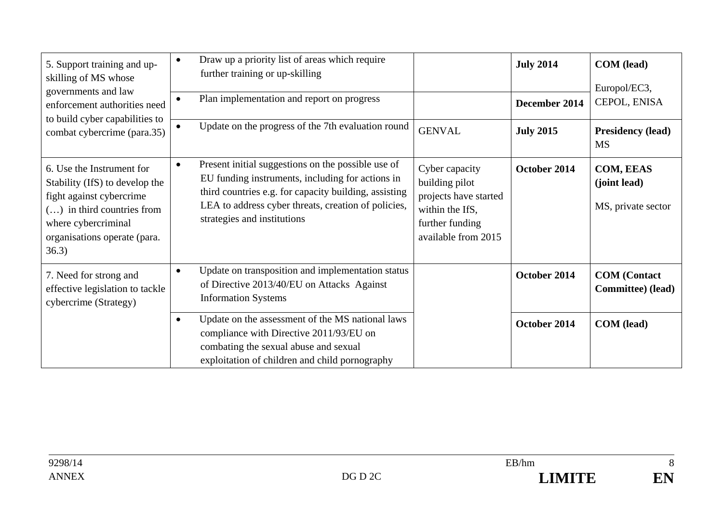| 5. Support training and up-<br>skilling of MS whose<br>governments and law<br>enforcement authorities need                                                                              | Draw up a priority list of areas which require<br>$\bullet$<br>further training or up-skilling<br>Plan implementation and report on progress                                                                                                                       |                                                                                                                        | <b>July 2014</b><br>December 2014 | <b>COM</b> (lead)<br>Europol/EC3,<br>CEPOL, ENISA |
|-----------------------------------------------------------------------------------------------------------------------------------------------------------------------------------------|--------------------------------------------------------------------------------------------------------------------------------------------------------------------------------------------------------------------------------------------------------------------|------------------------------------------------------------------------------------------------------------------------|-----------------------------------|---------------------------------------------------|
| to build cyber capabilities to<br>combat cybercrime (para.35)                                                                                                                           | Update on the progress of the 7th evaluation round<br>$\bullet$                                                                                                                                                                                                    | <b>GENVAL</b>                                                                                                          | <b>July 2015</b>                  | <b>Presidency (lead)</b><br><b>MS</b>             |
| 6. Use the Instrument for<br>Stability (IfS) to develop the<br>fight against cybercrime<br>$()$ in third countries from<br>where cybercriminal<br>organisations operate (para.<br>36.3) | Present initial suggestions on the possible use of<br>$\bullet$<br>EU funding instruments, including for actions in<br>third countries e.g. for capacity building, assisting<br>LEA to address cyber threats, creation of policies,<br>strategies and institutions | Cyber capacity<br>building pilot<br>projects have started<br>within the IfS,<br>further funding<br>available from 2015 | October 2014                      | COM, EEAS<br>(joint lead)<br>MS, private sector   |
| 7. Need for strong and<br>effective legislation to tackle<br>cybercrime (Strategy)                                                                                                      | Update on transposition and implementation status<br>$\bullet$<br>of Directive 2013/40/EU on Attacks Against<br><b>Information Systems</b>                                                                                                                         |                                                                                                                        | October 2014                      | <b>COM</b> (Contact<br>Committee) (lead)          |
|                                                                                                                                                                                         | Update on the assessment of the MS national laws<br>$\bullet$<br>compliance with Directive 2011/93/EU on<br>combating the sexual abuse and sexual<br>exploitation of children and child pornography                                                                |                                                                                                                        | October 2014                      | <b>COM</b> (lead)                                 |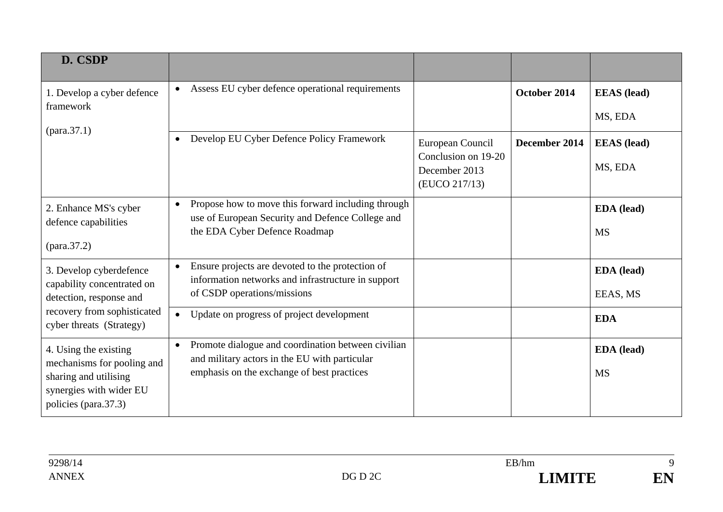| D. CSDP                                                                                                                         |                                                                                                                                                                |                                                                           |               |                               |
|---------------------------------------------------------------------------------------------------------------------------------|----------------------------------------------------------------------------------------------------------------------------------------------------------------|---------------------------------------------------------------------------|---------------|-------------------------------|
| 1. Develop a cyber defence<br>framework                                                                                         | Assess EU cyber defence operational requirements                                                                                                               |                                                                           | October 2014  | <b>EEAS</b> (lead)            |
|                                                                                                                                 |                                                                                                                                                                |                                                                           |               | MS, EDA                       |
|                                                                                                                                 | Develop EU Cyber Defence Policy Framework                                                                                                                      | European Council<br>Conclusion on 19-20<br>December 2013<br>(EUCO 217/13) | December 2014 | <b>EEAS</b> (lead)<br>MS, EDA |
| 2. Enhance MS's cyber<br>defence capabilities                                                                                   | Propose how to move this forward including through<br>$\bullet$<br>use of European Security and Defence College and<br>the EDA Cyber Defence Roadmap           |                                                                           |               | EDA (lead)<br><b>MS</b>       |
| 3. Develop cyberdefence<br>capability concentrated on<br>detection, response and                                                | Ensure projects are devoted to the protection of<br>$\bullet$<br>information networks and infrastructure in support<br>of CSDP operations/missions             |                                                                           |               | <b>EDA</b> (lead)<br>EEAS, MS |
| recovery from sophisticated<br>cyber threats (Strategy)                                                                         | Update on progress of project development<br>$\bullet$                                                                                                         |                                                                           |               | <b>EDA</b>                    |
| 4. Using the existing<br>mechanisms for pooling and<br>sharing and utilising<br>synergies with wider EU<br>policies (para.37.3) | Promote dialogue and coordination between civilian<br>$\bullet$<br>and military actors in the EU with particular<br>emphasis on the exchange of best practices |                                                                           |               | EDA (lead)<br><b>MS</b>       |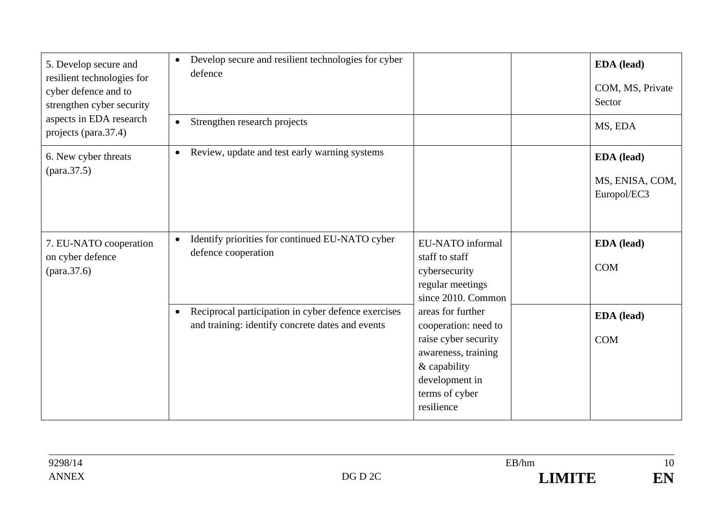| 5. Develop secure and<br>resilient technologies for<br>cyber defence and to<br>strengthen cyber security | Develop secure and resilient technologies for cyber<br>$\bullet$<br>defence                                          |                                                                                                                                                            | EDA (lead)<br>COM, MS, Private<br>Sector     |
|----------------------------------------------------------------------------------------------------------|----------------------------------------------------------------------------------------------------------------------|------------------------------------------------------------------------------------------------------------------------------------------------------------|----------------------------------------------|
| aspects in EDA research<br>projects (para.37.4)                                                          | Strengthen research projects<br>$\bullet$                                                                            |                                                                                                                                                            | MS, EDA                                      |
| 6. New cyber threats                                                                                     | Review, update and test early warning systems<br>$\bullet$                                                           |                                                                                                                                                            | EDA (lead)<br>MS, ENISA, COM,<br>Europol/EC3 |
| 7. EU-NATO cooperation<br>on cyber defence                                                               | Identify priorities for continued EU-NATO cyber<br>$\bullet$<br>defence cooperation                                  | EU-NATO informal<br>staff to staff<br>cybersecurity<br>regular meetings<br>since 2010. Common                                                              | <b>EDA</b> (lead)<br><b>COM</b>              |
|                                                                                                          | Reciprocal participation in cyber defence exercises<br>$\bullet$<br>and training: identify concrete dates and events | areas for further<br>cooperation: need to<br>raise cyber security<br>awareness, training<br>& capability<br>development in<br>terms of cyber<br>resilience | EDA (lead)<br><b>COM</b>                     |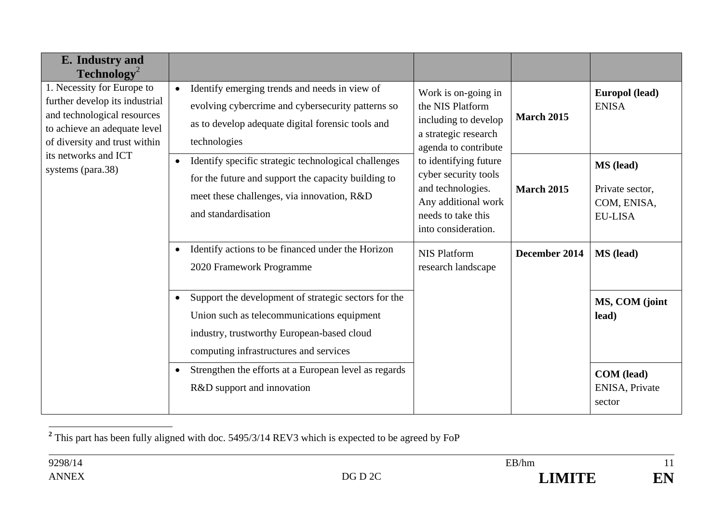| E. Industry and<br>$\textbf{Technology}^2$                                                                                                                                                                |                                                                                                                                                                                                         |                                                                                                                                        |                   |                                                               |
|-----------------------------------------------------------------------------------------------------------------------------------------------------------------------------------------------------------|---------------------------------------------------------------------------------------------------------------------------------------------------------------------------------------------------------|----------------------------------------------------------------------------------------------------------------------------------------|-------------------|---------------------------------------------------------------|
| 1. Necessity for Europe to<br>further develop its industrial<br>and technological resources<br>to achieve an adequate level<br>of diversity and trust within<br>its networks and ICT<br>systems (para.38) | Identify emerging trends and needs in view of<br>$\bullet$<br>evolving cybercrime and cybersecurity patterns so<br>as to develop adequate digital forensic tools and<br>technologies                    | Work is on-going in<br>the NIS Platform<br>including to develop<br>a strategic research<br>agenda to contribute                        | <b>March 2015</b> | Europol (lead)<br><b>ENISA</b>                                |
|                                                                                                                                                                                                           | Identify specific strategic technological challenges<br>$\bullet$<br>for the future and support the capacity building to<br>meet these challenges, via innovation, R&D<br>and standardisation           | to identifying future<br>cyber security tools<br>and technologies.<br>Any additional work<br>needs to take this<br>into consideration. | <b>March 2015</b> | MS (lead)<br>Private sector,<br>COM, ENISA,<br><b>EU-LISA</b> |
|                                                                                                                                                                                                           | Identify actions to be financed under the Horizon<br>$\bullet$<br>2020 Framework Programme                                                                                                              | <b>NIS Platform</b><br>research landscape                                                                                              | December 2014     | <b>MS</b> (lead)                                              |
|                                                                                                                                                                                                           | Support the development of strategic sectors for the<br>$\bullet$<br>Union such as telecommunications equipment<br>industry, trustworthy European-based cloud<br>computing infrastructures and services |                                                                                                                                        |                   | MS, COM (joint<br>lead)                                       |
|                                                                                                                                                                                                           | Strengthen the efforts at a European level as regards<br>$\bullet$<br>R&D support and innovation                                                                                                        |                                                                                                                                        |                   | <b>COM</b> (lead)<br>ENISA, Private<br>sector                 |

**<sup>2</sup>** This part has been fully aligned with doc. 5495/3/14 REV3 which is expected to be agreed by FoP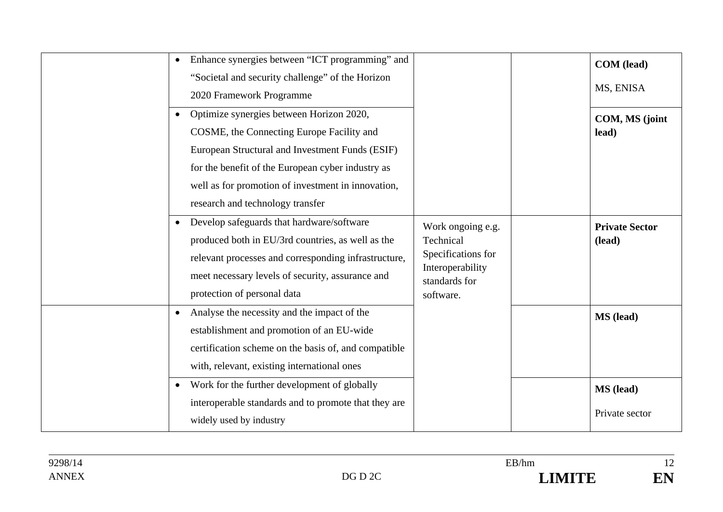| Enhance synergies between "ICT programming" and          |                                   | <b>COM</b> (lead)     |
|----------------------------------------------------------|-----------------------------------|-----------------------|
| "Societal and security challenge" of the Horizon         |                                   |                       |
| 2020 Framework Programme                                 |                                   | MS, ENISA             |
| • Optimize synergies between Horizon 2020,               |                                   | COM, MS (joint        |
| COSME, the Connecting Europe Facility and                |                                   | lead)                 |
| European Structural and Investment Funds (ESIF)          |                                   |                       |
| for the benefit of the European cyber industry as        |                                   |                       |
| well as for promotion of investment in innovation,       |                                   |                       |
| research and technology transfer                         |                                   |                       |
| • Develop safeguards that hardware/software              | Work ongoing e.g.                 | <b>Private Sector</b> |
| produced both in EU/3rd countries, as well as the        | Technical                         | (lead)                |
| relevant processes and corresponding infrastructure,     | Specifications for                |                       |
| meet necessary levels of security, assurance and         | Interoperability<br>standards for |                       |
| protection of personal data                              | software.                         |                       |
| Analyse the necessity and the impact of the<br>$\bullet$ |                                   | MS (lead)             |
| establishment and promotion of an EU-wide                |                                   |                       |
| certification scheme on the basis of, and compatible     |                                   |                       |
| with, relevant, existing international ones              |                                   |                       |
| • Work for the further development of globally           |                                   | MS (lead)             |
| interoperable standards and to promote that they are     |                                   |                       |
| widely used by industry                                  |                                   | Private sector        |
|                                                          |                                   |                       |

12 EN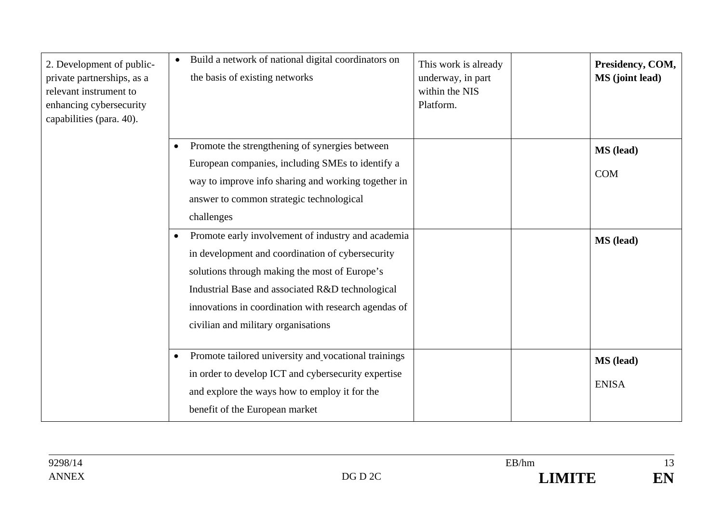| 2. Development of public-<br>private partnerships, as a<br>relevant instrument to<br>enhancing cybersecurity<br>capabilities (para. 40). | Build a network of national digital coordinators on<br>the basis of existing networks                                                                                                                                                                                                                                                 | This work is already<br>underway, in part<br>within the NIS<br>Platform. | Presidency, COM,<br><b>MS</b> (joint lead) |
|------------------------------------------------------------------------------------------------------------------------------------------|---------------------------------------------------------------------------------------------------------------------------------------------------------------------------------------------------------------------------------------------------------------------------------------------------------------------------------------|--------------------------------------------------------------------------|--------------------------------------------|
|                                                                                                                                          | Promote the strengthening of synergies between<br>European companies, including SMEs to identify a<br>way to improve info sharing and working together in<br>answer to common strategic technological                                                                                                                                 |                                                                          | MS (lead)<br><b>COM</b>                    |
|                                                                                                                                          | challenges<br>Promote early involvement of industry and academia<br>$\bullet$<br>in development and coordination of cybersecurity<br>solutions through making the most of Europe's<br>Industrial Base and associated R&D technological<br>innovations in coordination with research agendas of<br>civilian and military organisations |                                                                          | <b>MS</b> (lead)                           |
|                                                                                                                                          | Promote tailored university and vocational trainings<br>$\bullet$<br>in order to develop ICT and cybersecurity expertise<br>and explore the ways how to employ it for the<br>benefit of the European market                                                                                                                           |                                                                          | MS (lead)<br><b>ENISA</b>                  |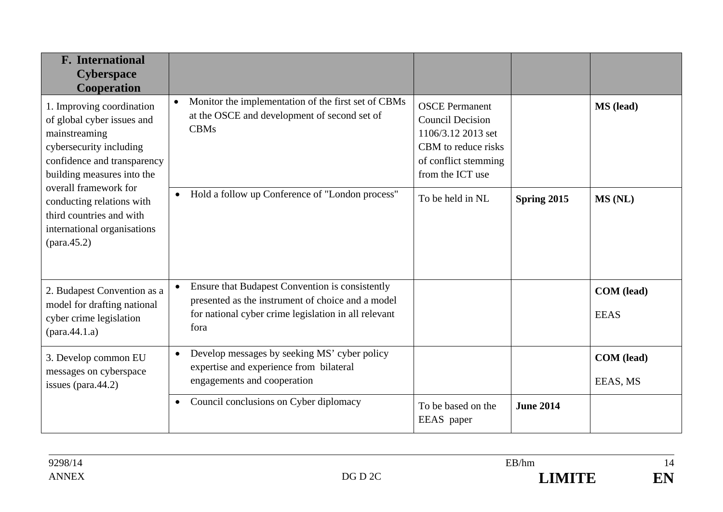| <b>F.</b> International<br><b>Cyberspace</b><br>Cooperation                                                                                                                                                                                                                       |                                                                                                                                                                                   |                                                                                                                                           |                  |                           |
|-----------------------------------------------------------------------------------------------------------------------------------------------------------------------------------------------------------------------------------------------------------------------------------|-----------------------------------------------------------------------------------------------------------------------------------------------------------------------------------|-------------------------------------------------------------------------------------------------------------------------------------------|------------------|---------------------------|
| 1. Improving coordination<br>of global cyber issues and<br>mainstreaming<br>cybersecurity including<br>confidence and transparency<br>building measures into the<br>overall framework for<br>conducting relations with<br>third countries and with<br>international organisations | Monitor the implementation of the first set of CBMs<br>$\bullet$<br>at the OSCE and development of second set of<br><b>CBMs</b>                                                   | <b>OSCE</b> Permanent<br><b>Council Decision</b><br>1106/3.12 2013 set<br>CBM to reduce risks<br>of conflict stemming<br>from the ICT use |                  | MS (lead)                 |
|                                                                                                                                                                                                                                                                                   | Hold a follow up Conference of "London process"<br>$\bullet$                                                                                                                      | To be held in NL                                                                                                                          | Spring 2015      | MS (NL)                   |
| 2. Budapest Convention as a<br>model for drafting national<br>cyber crime legislation<br>$(\text{para}.44.1.a)$                                                                                                                                                                   | Ensure that Budapest Convention is consistently<br>$\bullet$<br>presented as the instrument of choice and a model<br>for national cyber crime legislation in all relevant<br>fora |                                                                                                                                           |                  | COM (lead)<br><b>EEAS</b> |
| 3. Develop common EU<br>messages on cyberspace<br>issues (para. $44.2$ )                                                                                                                                                                                                          | Develop messages by seeking MS' cyber policy<br>$\bullet$<br>expertise and experience from bilateral<br>engagements and cooperation                                               |                                                                                                                                           |                  | COM (lead)<br>EEAS, MS    |
|                                                                                                                                                                                                                                                                                   | Council conclusions on Cyber diplomacy<br>$\bullet$                                                                                                                               | To be based on the<br>EEAS paper                                                                                                          | <b>June 2014</b> |                           |

14 EN